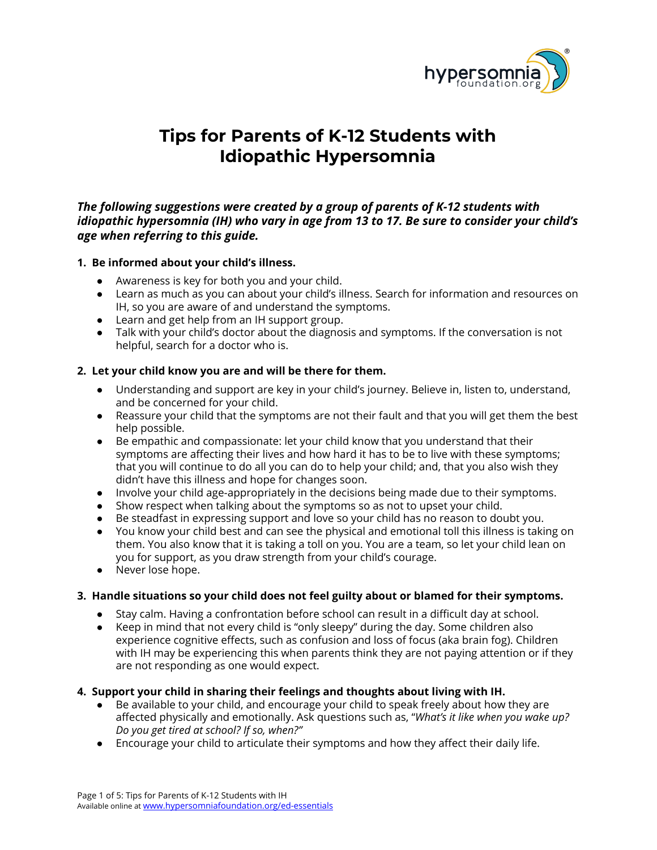

# **Tips for Parents of K-12 Students with Idiopathic Hypersomnia**

# *The following suggestions were created by a group of parents of K-12 students with idiopathic hypersomnia (IH) who vary in age from 13 to 17. Be sure to consider your child's age when referring to this guide.*

# **1. Be informed about your child's illness.**

- Awareness is key for both you and your child.
- Learn as much as you can about your child's illness. Search for information and resources on IH, so you are aware of and understand the symptoms.
- **●** Learn and get help from an IH support group.
- **●** Talk with your child's doctor about the diagnosis and symptoms. If the conversation is not helpful, search for a doctor who is.

# **2. Let your child know you are and will be there for them.**

- Understanding and support are key in your child's journey. Believe in, listen to, understand, and be concerned for your child.
- **●** Reassure your child that the symptoms are not their fault and that you will get them the best help possible.
- Be empathic and compassionate: let your child know that you understand that their symptoms are affecting their lives and how hard it has to be to live with these symptoms; that you will continue to do all you can do to help your child; and, that you also wish they didn't have this illness and hope for changes soon.
- Involve your child age-appropriately in the decisions being made due to their symptoms.
- Show respect when talking about the symptoms so as not to upset your child.
- Be steadfast in expressing support and love so your child has no reason to doubt you.
- **●** You know your child best and can see the physical and emotional toll this illness is taking on them. You also know that it is taking a toll on you. You are a team, so let your child lean on you for support, as you draw strength from your child's courage.
- Never lose hope.

# **3. Handle situations so your child does not feel guilty about or blamed for their symptoms.**

- Stay calm. Having a confrontation before school can result in a difficult day at school.
- Keep in mind that not every child is "only sleepy" during the day. Some children also experience cognitive effects, such as confusion and loss of focus (aka brain fog). Children with IH may be experiencing this when parents think they are not paying attention or if they are not responding as one would expect.

# **4. Support your child in sharing their feelings and thoughts about living with IH.**

- Be available to your child, and encourage your child to speak freely about how they are affected physically and emotionally. Ask questions such as, "*What's it like when you wake up? Do you get tired at school? If so, when?"*
- Encourage your child to articulate their symptoms and how they affect their daily life.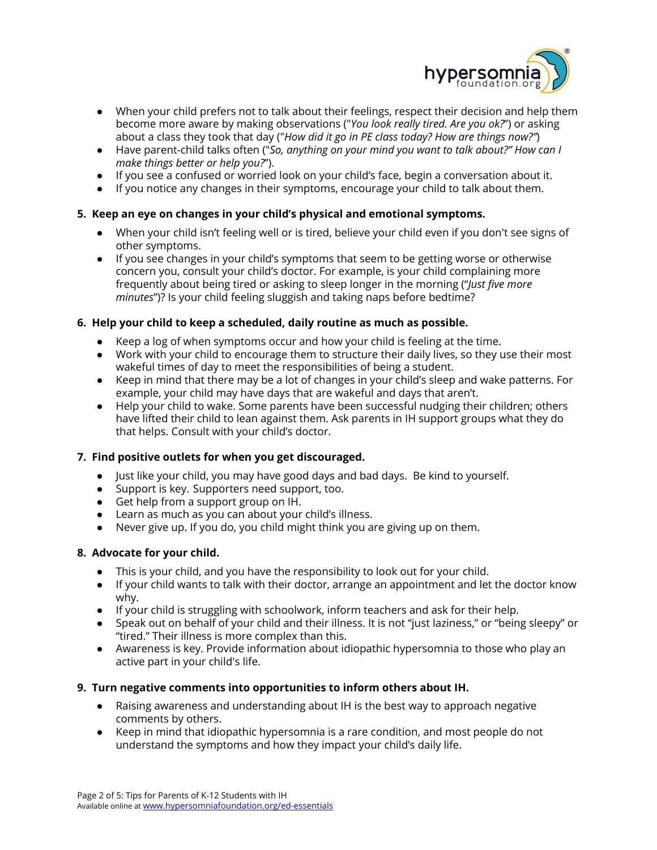

- When your child prefers not to talk about their feelings, respect their decision and help them become more aware by making observations ("*You look really tired. Are you ok?*") or asking about a class they took that day ("*How did it go in PE class today? How are things now?"*)
- Have parent-child talks often ("*So, anything on your mind you want to talk about?" How can I make things better or help you?*").
- If you see a confused or worried look on your child's face, begin a conversation about it.
- If you notice any changes in their symptoms, encourage your child to talk about them.

# **5. Keep an eye on changes in your child's physical and emotional symptoms.**

- When your child isn't feeling well or is tired, believe your child even if you don't see signs of other symptoms.
- If you see changes in your child's symptoms that seem to be getting worse or otherwise concern you, consult your child's doctor. For example, is your child complaining more frequently about being tired or asking to sleep longer in the morning ("*Just five more minutes*")? Is your child feeling sluggish and taking naps before bedtime?

# **6. Help your child to keep a scheduled, daily routine as much as possible.**

- Keep a log of when symptoms occur and how your child is feeling at the time.
- Work with your child to encourage them to structure their daily lives, so they use their most wakeful times of day to meet the responsibilities of being a student.
- Keep in mind that there may be a lot of changes in your child's sleep and wake patterns. For example, your child may have days that are wakeful and days that aren't.
- Help your child to wake. Some parents have been successful nudging their children; others have lifted their child to lean against them. Ask parents in IH support groups what they do that helps. Consult with your child's doctor.

# **7. Find positive outlets for when you get discouraged.**

- Just like your child, you may have good days and bad days. Be kind to yourself.
- Support is key. Supporters need support, too.
- **●** Get help from a support group on IH.
- Learn as much as you can about your child's illness.
- **●** Never give up. If you do, you child might think you are giving up on them.

# **8. Advocate for your child.**

- **●** This is your child, and you have the responsibility to look out for your child.
- **●** If your child wants to talk with their doctor, arrange an appointment and let the doctor know why.
- **●** If your child is struggling with schoolwork, inform teachers and ask for their help.
- Speak out on behalf of your child and their illness. It is not "just laziness," or "being sleepy" or "tired." Their illness is more complex than this.
- Awareness is key. Provide information about idiopathic hypersomnia to those who play an active part in your child's life.

# **9. Turn negative comments into opportunities to inform others about IH.**

- Raising awareness and understanding about IH is the best way to approach negative comments by others.
- Keep in mind that idiopathic hypersomnia is a rare condition, and most people do not understand the symptoms and how they impact your child's daily life.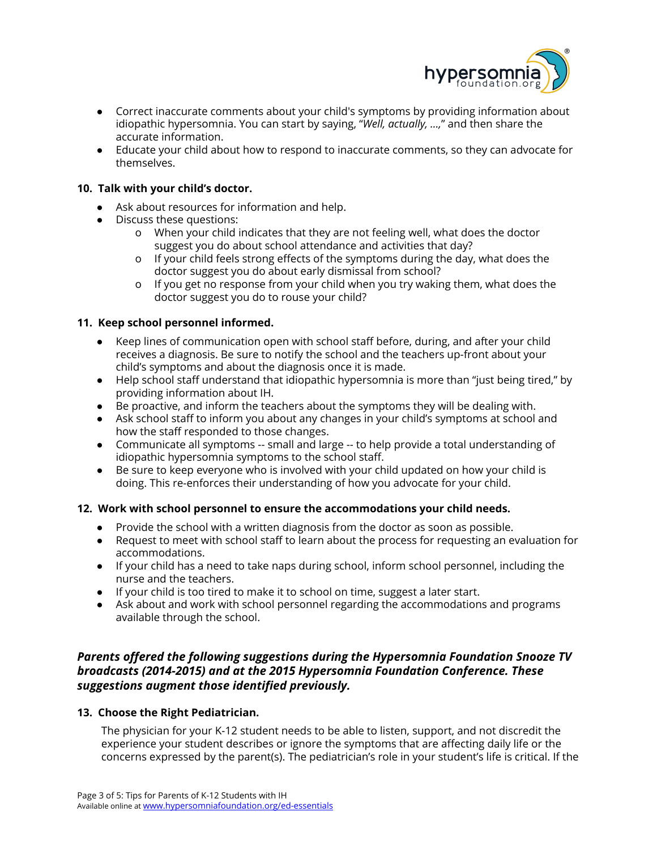

- Correct inaccurate comments about your child's symptoms by providing information about idiopathic hypersomnia. You can start by saying, "*Well, actually, …,*" and then share the accurate information.
- Educate your child about how to respond to inaccurate comments, so they can advocate for themselves.

# **10. Talk with your child's doctor.**

- Ask about resources for information and help.
- Discuss these questions:
	- o When your child indicates that they are not feeling well, what does the doctor suggest you do about school attendance and activities that day?
	- o If your child feels strong effects of the symptoms during the day, what does the doctor suggest you do about early dismissal from school?
	- o If you get no response from your child when you try waking them, what does the doctor suggest you do to rouse your child?

# **11. Keep school personnel informed.**

- Keep lines of communication open with school staff before, during, and after your child receives a diagnosis. Be sure to notify the school and the teachers up-front about your child's symptoms and about the diagnosis once it is made.
- Help school staff understand that idiopathic hypersomnia is more than "just being tired," by providing information about IH.
- Be proactive, and inform the teachers about the symptoms they will be dealing with.
- Ask school staff to inform you about any changes in your child's symptoms at school and how the staff responded to those changes.
- Communicate all symptoms -- small and large -- to help provide a total understanding of idiopathic hypersomnia symptoms to the school staff.
- Be sure to keep everyone who is involved with your child updated on how your child is doing. This re-enforces their understanding of how you advocate for your child.

# **12. Work with school personnel to ensure the accommodations your child needs.**

- Provide the school with a written diagnosis from the doctor as soon as possible.
- Request to meet with school staff to learn about the process for requesting an evaluation for accommodations.
- If your child has a need to take naps during school, inform school personnel, including the nurse and the teachers.
- If your child is too tired to make it to school on time, suggest a later start.
- Ask about and work with school personnel regarding the accommodations and programs available through the school.

# *Parents offered the following suggestions during the Hypersomnia Foundation Snooze TV broadcasts (2014-2015) and at the 2015 Hypersomnia Foundation Conference. These suggestions augment those identified previously.*

# **13. Choose the Right Pediatrician.**

The physician for your K-12 student needs to be able to listen, support, and not discredit the experience your student describes or ignore the symptoms that are affecting daily life or the concerns expressed by the parent(s). The pediatrician's role in your student's life is critical. If the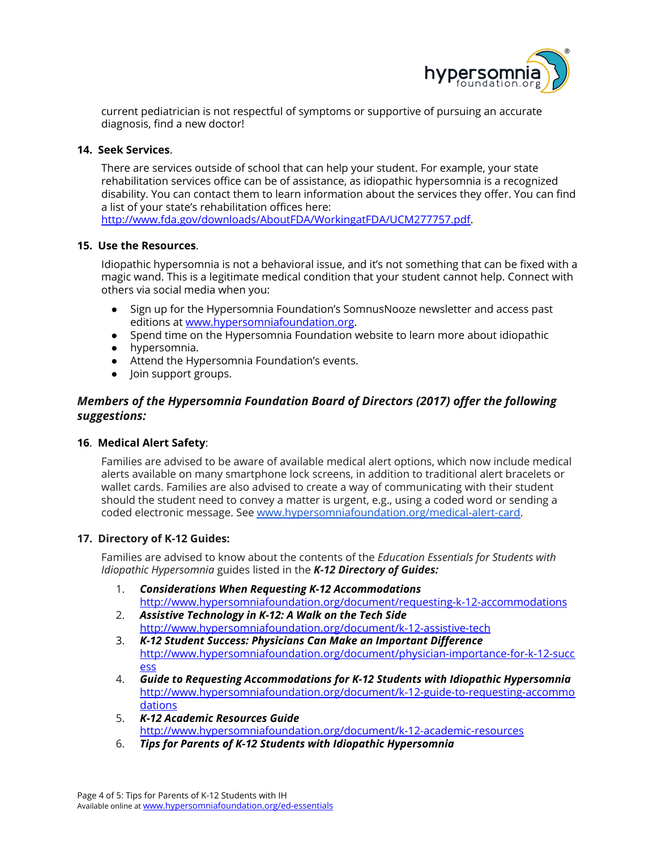

current pediatrician is not respectful of symptoms or supportive of pursuing an accurate diagnosis, find a new doctor!

## **14. Seek Services**.

There are services outside of school that can help your student. For example, your state rehabilitation services office can be of assistance, as idiopathic hypersomnia is a recognized disability. You can contact them to learn information about the services they offer. You can find a list of your state's rehabilitation offices here:

[http://www.fda.gov/downloads/AboutFDA/WorkingatFDA/UCM277757.pdf.](http://www.fda.gov/downloads/AboutFDA/WorkingatFDA/UCM277757.pdf)

## **15. Use the Resources**.

Idiopathic hypersomnia is not a behavioral issue, and it's not something that can be fixed with a magic wand. This is a legitimate medical condition that your student cannot help. Connect with others via social media when you:

- Sign up for the Hypersomnia Foundation's SomnusNooze newsletter and access past editions at [www.hypersomniafoundation.org](http://www.hypersomniafoundation.org/).
- Spend time on the Hypersomnia Foundation website to learn more about idiopathic
- hypersomnia.
- Attend the Hypersomnia Foundation's events.
- Join support groups.

# *Members of the Hypersomnia Foundation Board of Directors (2017) offer the following suggestions:*

# **16**. **Medical Alert Safety**:

Families are advised to be aware of available medical alert options, which now include medical alerts available on many smartphone lock screens, in addition to traditional alert bracelets or wallet cards. Families are also advised to create a way of communicating with their student should the student need to convey a matter is urgent, e.g., using a coded word or sending a coded electronic message. See [www.hypersomniafoundation.org/medical-alert-card](http://www.hypersomniafoundation.org/medical-alert-card).

### **17. Directory of K-12 Guides:**

Families are advised to know about the contents of the *Education Essentials for Students with Idiopathic Hypersomnia* guides listed in the *K-12 Directory of Guides:*

- 1. *Considerations When Requesting K-12 Accommodations* <http://www.hypersomniafoundation.org/document/requesting-k-12-accommodations>
- 2. *Assistive Technology in K-12: A Walk on the Tech Side* <http://www.hypersomniafoundation.org/document/k-12-assistive-tech>
- 3. *K-12 Student Success: Physicians Can Make an Important Difference* [http://www.hypersomniafoundation.org/document/physician-importance-for-k-12-succ](http://www.hypersomniafoundation.org/document/physician-importance-for-k-12-success) [ess](http://www.hypersomniafoundation.org/document/physician-importance-for-k-12-success)
- 4. *Guide to Requesting Accommodations for K-12 Students with Idiopathic Hypersomnia* [http://www.hypersomniafoundation.org/document/k-12-guide-to-requesting-accommo](http://www.hypersomniafoundation.org/document/k-12-guide-to-requesting-accommodations) [dations](http://www.hypersomniafoundation.org/document/k-12-guide-to-requesting-accommodations)
- 5. *K-12 Academic Resources Guide* <http://www.hypersomniafoundation.org/document/k-12-academic-resources>
- 6. *Tips for Parents of K-12 Students with Idiopathic Hypersomnia*